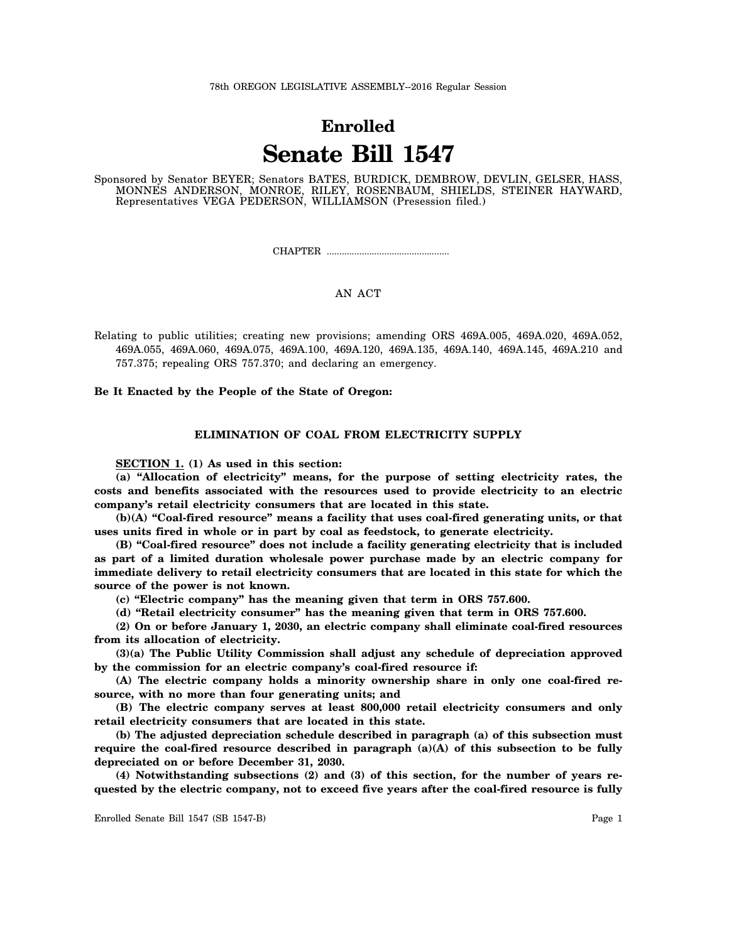# **Enrolled Senate Bill 1547**

Sponsored by Senator BEYER; Senators BATES, BURDICK, DEMBROW, DEVLIN, GELSER, HASS, MONNES ANDERSON, MONROE, RILEY, ROSENBAUM, SHIELDS, STEINER HAYWARD, Representatives VEGA PEDERSON, WILLIAMSON (Presession filed.)

CHAPTER .................................................

# AN ACT

Relating to public utilities; creating new provisions; amending ORS 469A.005, 469A.020, 469A.052, 469A.055, 469A.060, 469A.075, 469A.100, 469A.120, 469A.135, 469A.140, 469A.145, 469A.210 and 757.375; repealing ORS 757.370; and declaring an emergency.

**Be It Enacted by the People of the State of Oregon:**

## **ELIMINATION OF COAL FROM ELECTRICITY SUPPLY**

**SECTION 1. (1) As used in this section:**

**(a) "Allocation of electricity" means, for the purpose of setting electricity rates, the costs and benefits associated with the resources used to provide electricity to an electric company's retail electricity consumers that are located in this state.**

**(b)(A) "Coal-fired resource" means a facility that uses coal-fired generating units, or that uses units fired in whole or in part by coal as feedstock, to generate electricity.**

**(B) "Coal-fired resource" does not include a facility generating electricity that is included as part of a limited duration wholesale power purchase made by an electric company for immediate delivery to retail electricity consumers that are located in this state for which the source of the power is not known.**

**(c) "Electric company" has the meaning given that term in ORS 757.600.**

**(d) "Retail electricity consumer" has the meaning given that term in ORS 757.600.**

**(2) On or before January 1, 2030, an electric company shall eliminate coal-fired resources from its allocation of electricity.**

**(3)(a) The Public Utility Commission shall adjust any schedule of depreciation approved by the commission for an electric company's coal-fired resource if:**

**(A) The electric company holds a minority ownership share in only one coal-fired resource, with no more than four generating units; and**

**(B) The electric company serves at least 800,000 retail electricity consumers and only retail electricity consumers that are located in this state.**

**(b) The adjusted depreciation schedule described in paragraph (a) of this subsection must require the coal-fired resource described in paragraph (a)(A) of this subsection to be fully depreciated on or before December 31, 2030.**

**(4) Notwithstanding subsections (2) and (3) of this section, for the number of years requested by the electric company, not to exceed five years after the coal-fired resource is fully**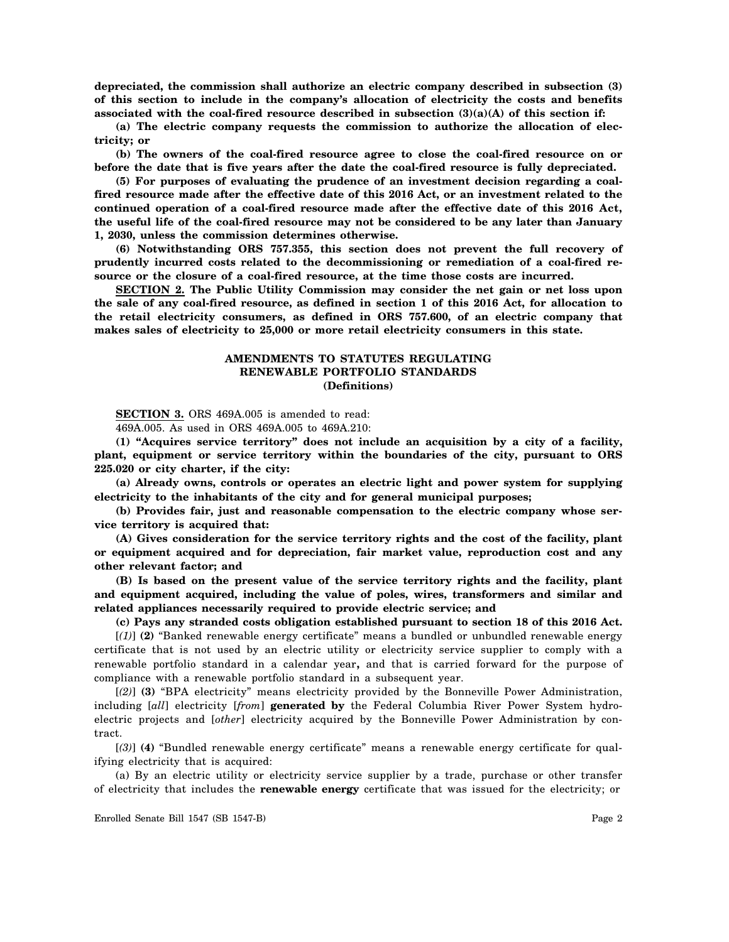**depreciated, the commission shall authorize an electric company described in subsection (3) of this section to include in the company's allocation of electricity the costs and benefits associated with the coal-fired resource described in subsection (3)(a)(A) of this section if:**

**(a) The electric company requests the commission to authorize the allocation of electricity; or**

**(b) The owners of the coal-fired resource agree to close the coal-fired resource on or before the date that is five years after the date the coal-fired resource is fully depreciated.**

**(5) For purposes of evaluating the prudence of an investment decision regarding a coalfired resource made after the effective date of this 2016 Act, or an investment related to the continued operation of a coal-fired resource made after the effective date of this 2016 Act, the useful life of the coal-fired resource may not be considered to be any later than January 1, 2030, unless the commission determines otherwise.**

**(6) Notwithstanding ORS 757.355, this section does not prevent the full recovery of prudently incurred costs related to the decommissioning or remediation of a coal-fired resource or the closure of a coal-fired resource, at the time those costs are incurred.**

**SECTION 2. The Public Utility Commission may consider the net gain or net loss upon the sale of any coal-fired resource, as defined in section 1 of this 2016 Act, for allocation to the retail electricity consumers, as defined in ORS 757.600, of an electric company that makes sales of electricity to 25,000 or more retail electricity consumers in this state.**

# **AMENDMENTS TO STATUTES REGULATING RENEWABLE PORTFOLIO STANDARDS (Definitions)**

**SECTION 3.** ORS 469A.005 is amended to read:

469A.005. As used in ORS 469A.005 to 469A.210:

**(1) "Acquires service territory" does not include an acquisition by a city of a facility, plant, equipment or service territory within the boundaries of the city, pursuant to ORS 225.020 or city charter, if the city:**

**(a) Already owns, controls or operates an electric light and power system for supplying electricity to the inhabitants of the city and for general municipal purposes;**

**(b) Provides fair, just and reasonable compensation to the electric company whose service territory is acquired that:**

**(A) Gives consideration for the service territory rights and the cost of the facility, plant or equipment acquired and for depreciation, fair market value, reproduction cost and any other relevant factor; and**

**(B) Is based on the present value of the service territory rights and the facility, plant and equipment acquired, including the value of poles, wires, transformers and similar and related appliances necessarily required to provide electric service; and**

**(c) Pays any stranded costs obligation established pursuant to section 18 of this 2016 Act.** [*(1)*] **(2)** "Banked renewable energy certificate" means a bundled or unbundled renewable energy certificate that is not used by an electric utility or electricity service supplier to comply with a renewable portfolio standard in a calendar year**,** and that is carried forward for the purpose of compliance with a renewable portfolio standard in a subsequent year.

[*(2)*] **(3)** "BPA electricity" means electricity provided by the Bonneville Power Administration, including [*all*] electricity [*from*] **generated by** the Federal Columbia River Power System hydroelectric projects and [*other*] electricity acquired by the Bonneville Power Administration by contract.

[*(3)*] **(4)** "Bundled renewable energy certificate" means a renewable energy certificate for qualifying electricity that is acquired:

(a) By an electric utility or electricity service supplier by a trade, purchase or other transfer of electricity that includes the **renewable energy** certificate that was issued for the electricity; or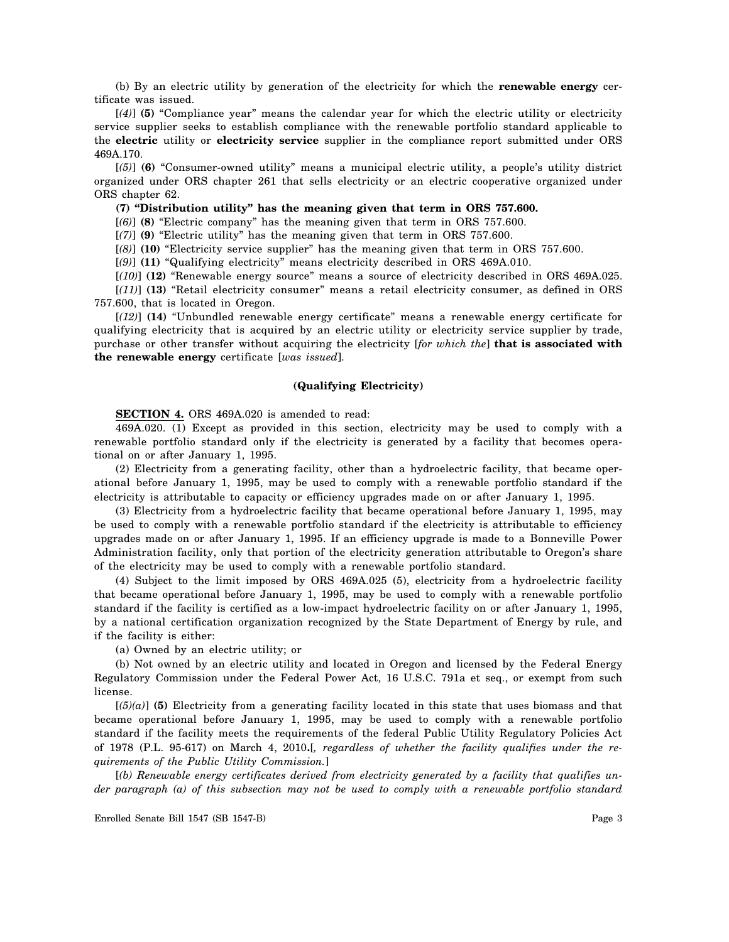(b) By an electric utility by generation of the electricity for which the **renewable energy** certificate was issued.

[*(4)*] **(5)** "Compliance year" means the calendar year for which the electric utility or electricity service supplier seeks to establish compliance with the renewable portfolio standard applicable to the **electric** utility or **electricity service** supplier in the compliance report submitted under ORS 469A.170.

[*(5)*] **(6)** "Consumer-owned utility" means a municipal electric utility, a people's utility district organized under ORS chapter 261 that sells electricity or an electric cooperative organized under ORS chapter 62.

**(7) "Distribution utility" has the meaning given that term in ORS 757.600.**

[*(6)*] **(8)** "Electric company" has the meaning given that term in ORS 757.600.

[*(7)*] **(9)** "Electric utility" has the meaning given that term in ORS 757.600.

[*(8)*] **(10)** "Electricity service supplier" has the meaning given that term in ORS 757.600.

[*(9)*] **(11)** "Qualifying electricity" means electricity described in ORS 469A.010.

[*(10)*] **(12)** "Renewable energy source" means a source of electricity described in ORS 469A.025.

[*(11)*] **(13)** "Retail electricity consumer" means a retail electricity consumer, as defined in ORS 757.600, that is located in Oregon.

[*(12)*] **(14)** "Unbundled renewable energy certificate" means a renewable energy certificate for qualifying electricity that is acquired by an electric utility or electricity service supplier by trade, purchase or other transfer without acquiring the electricity [*for which the*] **that is associated with the renewable energy** certificate [*was issued*].

# **(Qualifying Electricity)**

**SECTION 4.** ORS 469A.020 is amended to read:

469A.020. (1) Except as provided in this section, electricity may be used to comply with a renewable portfolio standard only if the electricity is generated by a facility that becomes operational on or after January 1, 1995.

(2) Electricity from a generating facility, other than a hydroelectric facility, that became operational before January 1, 1995, may be used to comply with a renewable portfolio standard if the electricity is attributable to capacity or efficiency upgrades made on or after January 1, 1995.

(3) Electricity from a hydroelectric facility that became operational before January 1, 1995, may be used to comply with a renewable portfolio standard if the electricity is attributable to efficiency upgrades made on or after January 1, 1995. If an efficiency upgrade is made to a Bonneville Power Administration facility, only that portion of the electricity generation attributable to Oregon's share of the electricity may be used to comply with a renewable portfolio standard.

(4) Subject to the limit imposed by ORS 469A.025 (5), electricity from a hydroelectric facility that became operational before January 1, 1995, may be used to comply with a renewable portfolio standard if the facility is certified as a low-impact hydroelectric facility on or after January 1, 1995, by a national certification organization recognized by the State Department of Energy by rule, and if the facility is either:

(a) Owned by an electric utility; or

(b) Not owned by an electric utility and located in Oregon and licensed by the Federal Energy Regulatory Commission under the Federal Power Act, 16 U.S.C. 791a et seq., or exempt from such license.

[*(5)(a)*] **(5)** Electricity from a generating facility located in this state that uses biomass and that became operational before January 1, 1995, may be used to comply with a renewable portfolio standard if the facility meets the requirements of the federal Public Utility Regulatory Policies Act of 1978 (P.L. 95-617) on March 4, 2010**.**[*, regardless of whether the facility qualifies under the requirements of the Public Utility Commission.*]

[*(b) Renewable energy certificates derived from electricity generated by a facility that qualifies under paragraph (a) of this subsection may not be used to comply with a renewable portfolio standard*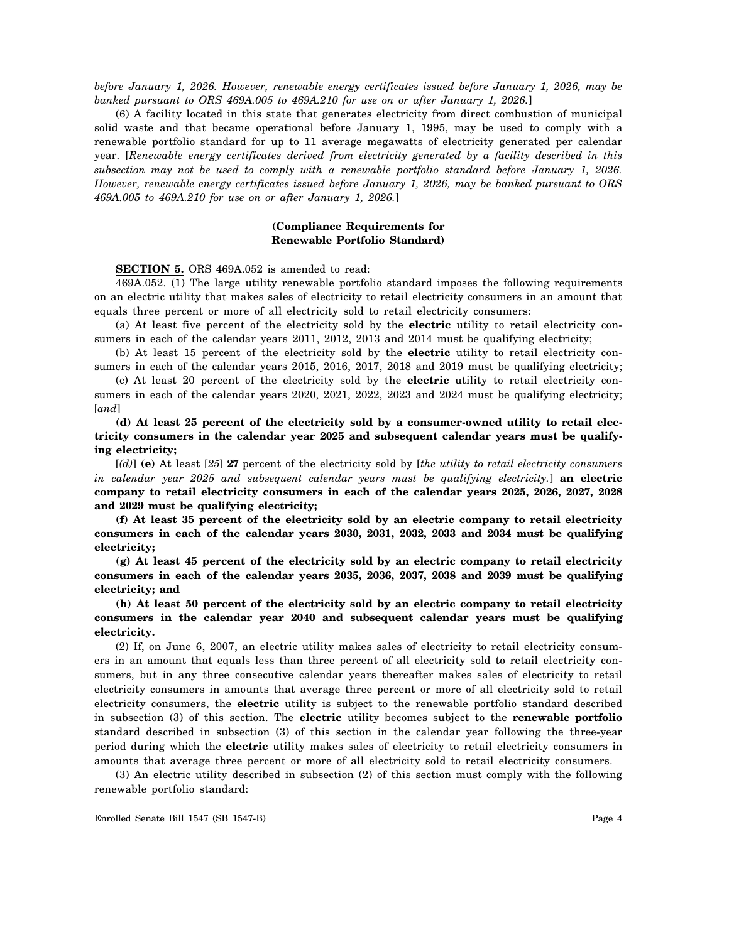*before January 1, 2026. However, renewable energy certificates issued before January 1, 2026, may be banked pursuant to ORS 469A.005 to 469A.210 for use on or after January 1, 2026.*]

(6) A facility located in this state that generates electricity from direct combustion of municipal solid waste and that became operational before January 1, 1995, may be used to comply with a renewable portfolio standard for up to 11 average megawatts of electricity generated per calendar year. [*Renewable energy certificates derived from electricity generated by a facility described in this subsection may not be used to comply with a renewable portfolio standard before January 1, 2026. However, renewable energy certificates issued before January 1, 2026, may be banked pursuant to ORS 469A.005 to 469A.210 for use on or after January 1, 2026.*]

# **(Compliance Requirements for Renewable Portfolio Standard)**

#### **SECTION 5.** ORS 469A.052 is amended to read:

469A.052. (1) The large utility renewable portfolio standard imposes the following requirements on an electric utility that makes sales of electricity to retail electricity consumers in an amount that equals three percent or more of all electricity sold to retail electricity consumers:

(a) At least five percent of the electricity sold by the **electric** utility to retail electricity consumers in each of the calendar years 2011, 2012, 2013 and 2014 must be qualifying electricity;

(b) At least 15 percent of the electricity sold by the **electric** utility to retail electricity consumers in each of the calendar years 2015, 2016, 2017, 2018 and 2019 must be qualifying electricity;

(c) At least 20 percent of the electricity sold by the **electric** utility to retail electricity consumers in each of the calendar years 2020, 2021, 2022, 2023 and 2024 must be qualifying electricity; [*and*]

**(d) At least 25 percent of the electricity sold by a consumer-owned utility to retail electricity consumers in the calendar year 2025 and subsequent calendar years must be qualifying electricity;**

[*(d)*] **(e)** At least [*25*] **27** percent of the electricity sold by [*the utility to retail electricity consumers in calendar year 2025 and subsequent calendar years must be qualifying electricity.*] **an electric company to retail electricity consumers in each of the calendar years 2025, 2026, 2027, 2028 and 2029 must be qualifying electricity;**

**(f) At least 35 percent of the electricity sold by an electric company to retail electricity consumers in each of the calendar years 2030, 2031, 2032, 2033 and 2034 must be qualifying electricity;**

**(g) At least 45 percent of the electricity sold by an electric company to retail electricity consumers in each of the calendar years 2035, 2036, 2037, 2038 and 2039 must be qualifying electricity; and**

**(h) At least 50 percent of the electricity sold by an electric company to retail electricity consumers in the calendar year 2040 and subsequent calendar years must be qualifying electricity.**

(2) If, on June 6, 2007, an electric utility makes sales of electricity to retail electricity consumers in an amount that equals less than three percent of all electricity sold to retail electricity consumers, but in any three consecutive calendar years thereafter makes sales of electricity to retail electricity consumers in amounts that average three percent or more of all electricity sold to retail electricity consumers, the **electric** utility is subject to the renewable portfolio standard described in subsection (3) of this section. The **electric** utility becomes subject to the **renewable portfolio** standard described in subsection (3) of this section in the calendar year following the three-year period during which the **electric** utility makes sales of electricity to retail electricity consumers in amounts that average three percent or more of all electricity sold to retail electricity consumers.

(3) An electric utility described in subsection (2) of this section must comply with the following renewable portfolio standard: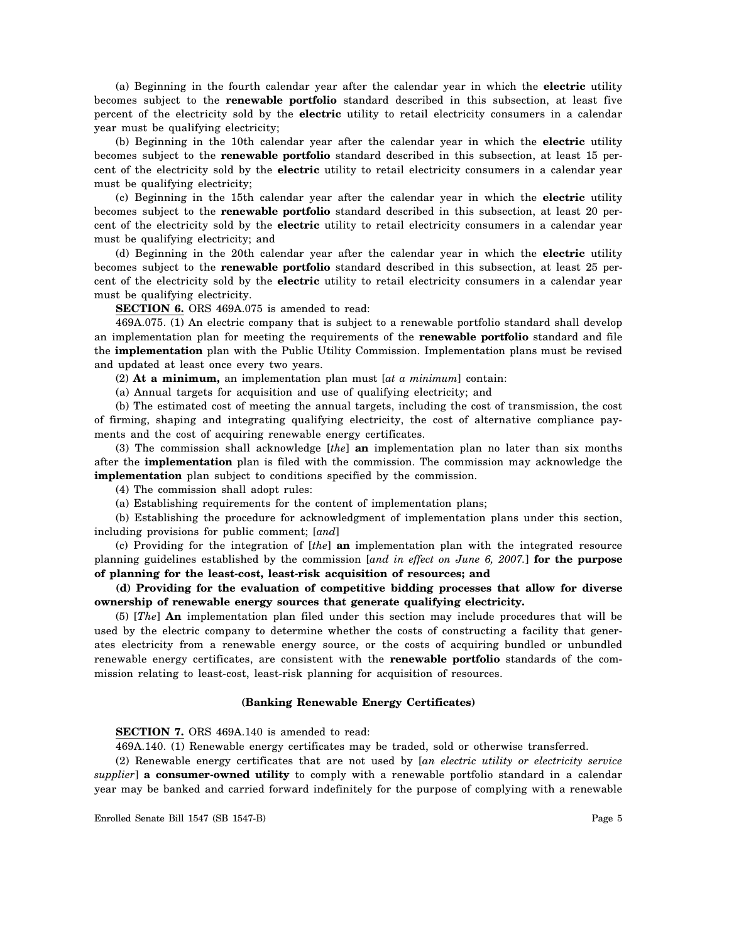(a) Beginning in the fourth calendar year after the calendar year in which the **electric** utility becomes subject to the **renewable portfolio** standard described in this subsection, at least five percent of the electricity sold by the **electric** utility to retail electricity consumers in a calendar year must be qualifying electricity;

(b) Beginning in the 10th calendar year after the calendar year in which the **electric** utility becomes subject to the **renewable portfolio** standard described in this subsection, at least 15 percent of the electricity sold by the **electric** utility to retail electricity consumers in a calendar year must be qualifying electricity;

(c) Beginning in the 15th calendar year after the calendar year in which the **electric** utility becomes subject to the **renewable portfolio** standard described in this subsection, at least 20 percent of the electricity sold by the **electric** utility to retail electricity consumers in a calendar year must be qualifying electricity; and

(d) Beginning in the 20th calendar year after the calendar year in which the **electric** utility becomes subject to the **renewable portfolio** standard described in this subsection, at least 25 percent of the electricity sold by the **electric** utility to retail electricity consumers in a calendar year must be qualifying electricity.

**SECTION 6.** ORS 469A.075 is amended to read:

469A.075. (1) An electric company that is subject to a renewable portfolio standard shall develop an implementation plan for meeting the requirements of the **renewable portfolio** standard and file the **implementation** plan with the Public Utility Commission. Implementation plans must be revised and updated at least once every two years.

(2) **At a minimum,** an implementation plan must [*at a minimum*] contain:

(a) Annual targets for acquisition and use of qualifying electricity; and

(b) The estimated cost of meeting the annual targets, including the cost of transmission, the cost of firming, shaping and integrating qualifying electricity, the cost of alternative compliance payments and the cost of acquiring renewable energy certificates.

(3) The commission shall acknowledge [*the*] **an** implementation plan no later than six months after the **implementation** plan is filed with the commission. The commission may acknowledge the **implementation** plan subject to conditions specified by the commission.

(4) The commission shall adopt rules:

(a) Establishing requirements for the content of implementation plans;

(b) Establishing the procedure for acknowledgment of implementation plans under this section, including provisions for public comment; [*and*]

(c) Providing for the integration of [*the*] **an** implementation plan with the integrated resource planning guidelines established by the commission [*and in effect on June 6, 2007.*] **for the purpose of planning for the least-cost, least-risk acquisition of resources; and**

**(d) Providing for the evaluation of competitive bidding processes that allow for diverse ownership of renewable energy sources that generate qualifying electricity.**

(5) [*The*] **An** implementation plan filed under this section may include procedures that will be used by the electric company to determine whether the costs of constructing a facility that generates electricity from a renewable energy source, or the costs of acquiring bundled or unbundled renewable energy certificates, are consistent with the **renewable portfolio** standards of the commission relating to least-cost, least-risk planning for acquisition of resources.

#### **(Banking Renewable Energy Certificates)**

**SECTION 7.** ORS 469A.140 is amended to read:

469A.140. (1) Renewable energy certificates may be traded, sold or otherwise transferred.

(2) Renewable energy certificates that are not used by [*an electric utility or electricity service supplier*] **a consumer-owned utility** to comply with a renewable portfolio standard in a calendar year may be banked and carried forward indefinitely for the purpose of complying with a renewable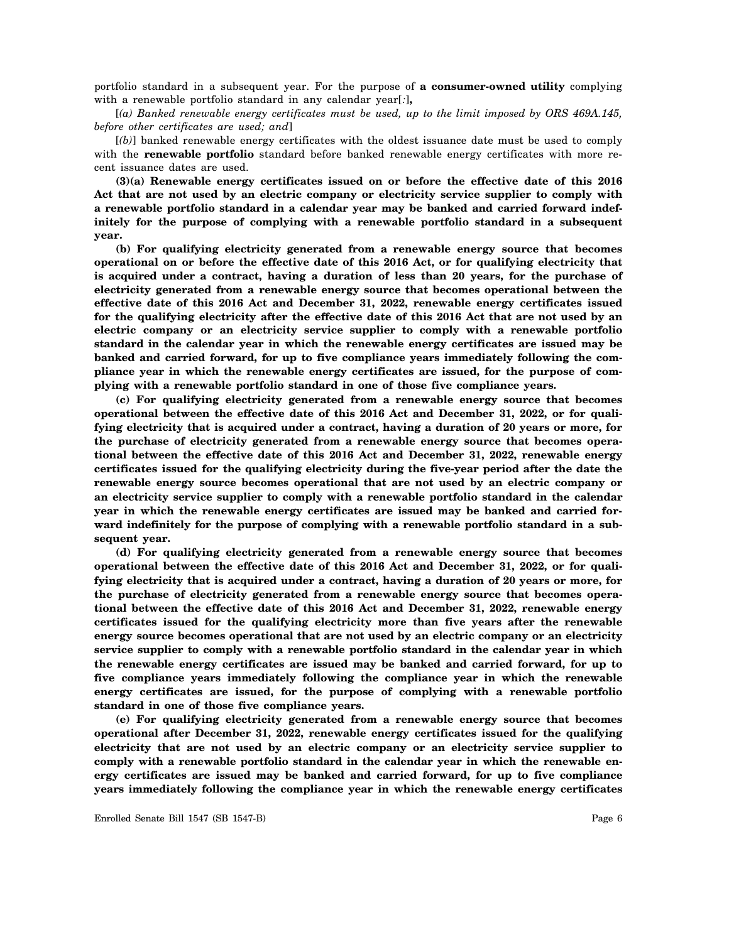portfolio standard in a subsequent year. For the purpose of **a consumer-owned utility** complying with a renewable portfolio standard in any calendar year[*:*]**,**

[*(a) Banked renewable energy certificates must be used, up to the limit imposed by ORS 469A.145, before other certificates are used; and*]

[*(b)*] banked renewable energy certificates with the oldest issuance date must be used to comply with the **renewable portfolio** standard before banked renewable energy certificates with more recent issuance dates are used.

**(3)(a) Renewable energy certificates issued on or before the effective date of this 2016 Act that are not used by an electric company or electricity service supplier to comply with a renewable portfolio standard in a calendar year may be banked and carried forward indefinitely for the purpose of complying with a renewable portfolio standard in a subsequent year.**

**(b) For qualifying electricity generated from a renewable energy source that becomes operational on or before the effective date of this 2016 Act, or for qualifying electricity that is acquired under a contract, having a duration of less than 20 years, for the purchase of electricity generated from a renewable energy source that becomes operational between the effective date of this 2016 Act and December 31, 2022, renewable energy certificates issued for the qualifying electricity after the effective date of this 2016 Act that are not used by an electric company or an electricity service supplier to comply with a renewable portfolio standard in the calendar year in which the renewable energy certificates are issued may be banked and carried forward, for up to five compliance years immediately following the compliance year in which the renewable energy certificates are issued, for the purpose of complying with a renewable portfolio standard in one of those five compliance years.**

**(c) For qualifying electricity generated from a renewable energy source that becomes operational between the effective date of this 2016 Act and December 31, 2022, or for qualifying electricity that is acquired under a contract, having a duration of 20 years or more, for the purchase of electricity generated from a renewable energy source that becomes operational between the effective date of this 2016 Act and December 31, 2022, renewable energy certificates issued for the qualifying electricity during the five-year period after the date the renewable energy source becomes operational that are not used by an electric company or an electricity service supplier to comply with a renewable portfolio standard in the calendar year in which the renewable energy certificates are issued may be banked and carried forward indefinitely for the purpose of complying with a renewable portfolio standard in a subsequent year.**

**(d) For qualifying electricity generated from a renewable energy source that becomes operational between the effective date of this 2016 Act and December 31, 2022, or for qualifying electricity that is acquired under a contract, having a duration of 20 years or more, for the purchase of electricity generated from a renewable energy source that becomes operational between the effective date of this 2016 Act and December 31, 2022, renewable energy certificates issued for the qualifying electricity more than five years after the renewable energy source becomes operational that are not used by an electric company or an electricity service supplier to comply with a renewable portfolio standard in the calendar year in which the renewable energy certificates are issued may be banked and carried forward, for up to five compliance years immediately following the compliance year in which the renewable energy certificates are issued, for the purpose of complying with a renewable portfolio standard in one of those five compliance years.**

**(e) For qualifying electricity generated from a renewable energy source that becomes operational after December 31, 2022, renewable energy certificates issued for the qualifying electricity that are not used by an electric company or an electricity service supplier to comply with a renewable portfolio standard in the calendar year in which the renewable energy certificates are issued may be banked and carried forward, for up to five compliance years immediately following the compliance year in which the renewable energy certificates**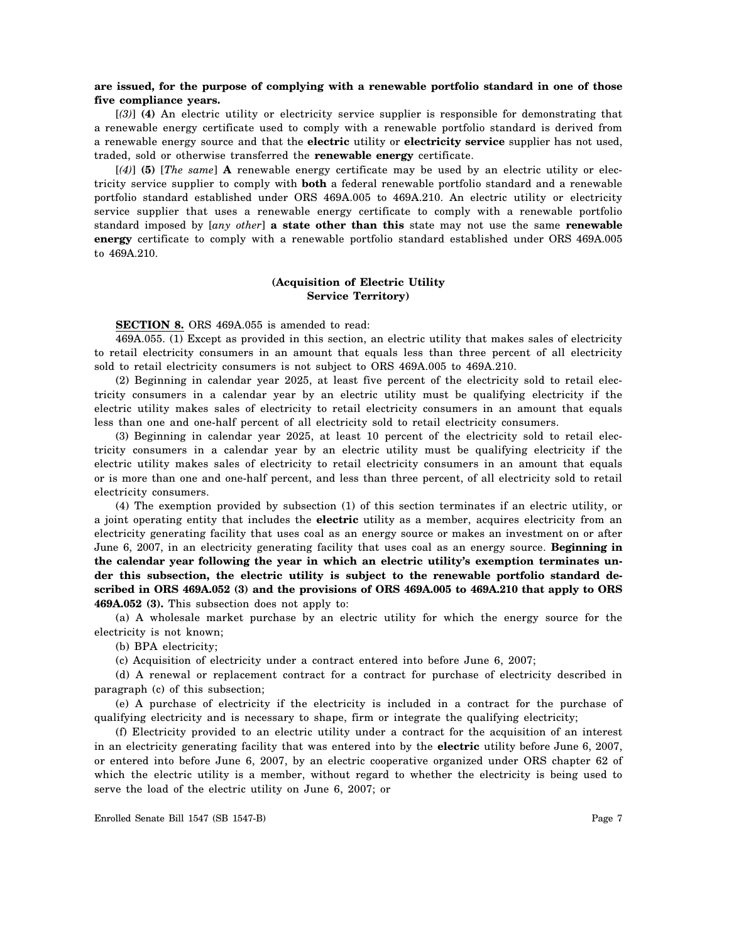# **are issued, for the purpose of complying with a renewable portfolio standard in one of those five compliance years.**

[*(3)*] **(4)** An electric utility or electricity service supplier is responsible for demonstrating that a renewable energy certificate used to comply with a renewable portfolio standard is derived from a renewable energy source and that the **electric** utility or **electricity service** supplier has not used, traded, sold or otherwise transferred the **renewable energy** certificate.

[*(4)*] **(5)** [*The same*] **A** renewable energy certificate may be used by an electric utility or electricity service supplier to comply with **both** a federal renewable portfolio standard and a renewable portfolio standard established under ORS 469A.005 to 469A.210. An electric utility or electricity service supplier that uses a renewable energy certificate to comply with a renewable portfolio standard imposed by [*any other*] **a state other than this** state may not use the same **renewable energy** certificate to comply with a renewable portfolio standard established under ORS 469A.005 to 469A.210.

# **(Acquisition of Electric Utility Service Territory)**

#### **SECTION 8.** ORS 469A.055 is amended to read:

469A.055. (1) Except as provided in this section, an electric utility that makes sales of electricity to retail electricity consumers in an amount that equals less than three percent of all electricity sold to retail electricity consumers is not subject to ORS 469A.005 to 469A.210.

(2) Beginning in calendar year 2025, at least five percent of the electricity sold to retail electricity consumers in a calendar year by an electric utility must be qualifying electricity if the electric utility makes sales of electricity to retail electricity consumers in an amount that equals less than one and one-half percent of all electricity sold to retail electricity consumers.

(3) Beginning in calendar year 2025, at least 10 percent of the electricity sold to retail electricity consumers in a calendar year by an electric utility must be qualifying electricity if the electric utility makes sales of electricity to retail electricity consumers in an amount that equals or is more than one and one-half percent, and less than three percent, of all electricity sold to retail electricity consumers.

(4) The exemption provided by subsection (1) of this section terminates if an electric utility, or a joint operating entity that includes the **electric** utility as a member, acquires electricity from an electricity generating facility that uses coal as an energy source or makes an investment on or after June 6, 2007, in an electricity generating facility that uses coal as an energy source. **Beginning in the calendar year following the year in which an electric utility's exemption terminates under this subsection, the electric utility is subject to the renewable portfolio standard described in ORS 469A.052 (3) and the provisions of ORS 469A.005 to 469A.210 that apply to ORS 469A.052 (3).** This subsection does not apply to:

(a) A wholesale market purchase by an electric utility for which the energy source for the electricity is not known;

(b) BPA electricity;

(c) Acquisition of electricity under a contract entered into before June 6, 2007;

(d) A renewal or replacement contract for a contract for purchase of electricity described in paragraph (c) of this subsection;

(e) A purchase of electricity if the electricity is included in a contract for the purchase of qualifying electricity and is necessary to shape, firm or integrate the qualifying electricity;

(f) Electricity provided to an electric utility under a contract for the acquisition of an interest in an electricity generating facility that was entered into by the **electric** utility before June 6, 2007, or entered into before June 6, 2007, by an electric cooperative organized under ORS chapter 62 of which the electric utility is a member, without regard to whether the electricity is being used to serve the load of the electric utility on June 6, 2007; or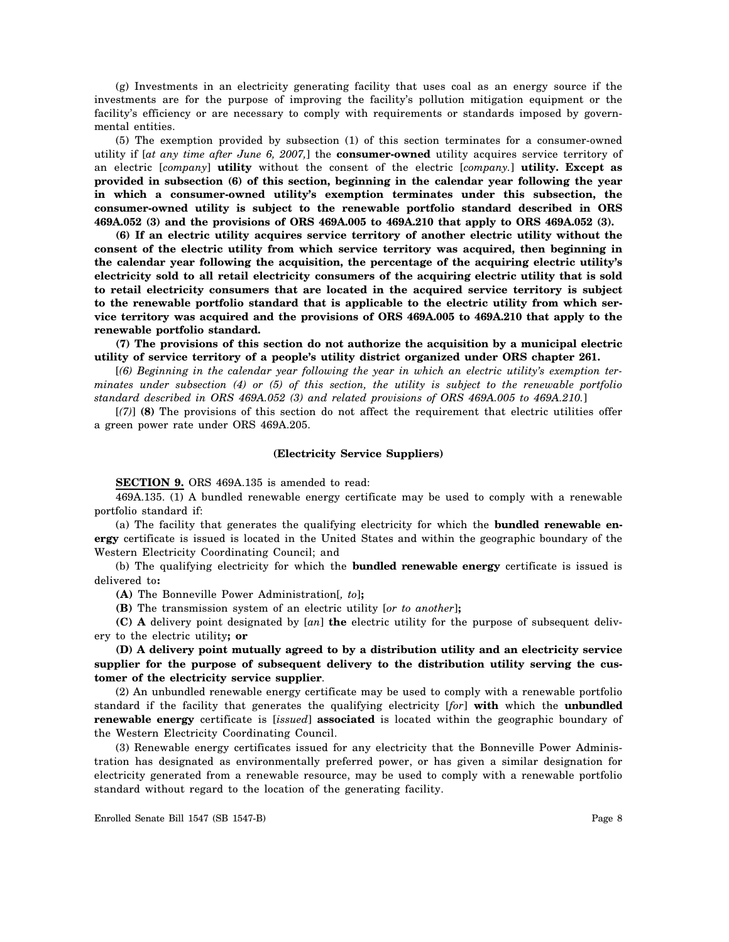(g) Investments in an electricity generating facility that uses coal as an energy source if the investments are for the purpose of improving the facility's pollution mitigation equipment or the facility's efficiency or are necessary to comply with requirements or standards imposed by governmental entities.

(5) The exemption provided by subsection (1) of this section terminates for a consumer-owned utility if [*at any time after June 6, 2007,*] the **consumer-owned** utility acquires service territory of an electric [*company*] **utility** without the consent of the electric [*company.*] **utility. Except as provided in subsection (6) of this section, beginning in the calendar year following the year in which a consumer-owned utility's exemption terminates under this subsection, the consumer-owned utility is subject to the renewable portfolio standard described in ORS 469A.052 (3) and the provisions of ORS 469A.005 to 469A.210 that apply to ORS 469A.052 (3).**

**(6) If an electric utility acquires service territory of another electric utility without the consent of the electric utility from which service territory was acquired, then beginning in the calendar year following the acquisition, the percentage of the acquiring electric utility's electricity sold to all retail electricity consumers of the acquiring electric utility that is sold to retail electricity consumers that are located in the acquired service territory is subject to the renewable portfolio standard that is applicable to the electric utility from which service territory was acquired and the provisions of ORS 469A.005 to 469A.210 that apply to the renewable portfolio standard.**

**(7) The provisions of this section do not authorize the acquisition by a municipal electric utility of service territory of a people's utility district organized under ORS chapter 261.**

[*(6) Beginning in the calendar year following the year in which an electric utility's exemption terminates under subsection (4) or (5) of this section, the utility is subject to the renewable portfolio standard described in ORS 469A.052 (3) and related provisions of ORS 469A.005 to 469A.210.*]

[*(7)*] **(8)** The provisions of this section do not affect the requirement that electric utilities offer a green power rate under ORS 469A.205.

#### **(Electricity Service Suppliers)**

**SECTION 9.** ORS 469A.135 is amended to read:

469A.135. (1) A bundled renewable energy certificate may be used to comply with a renewable portfolio standard if:

(a) The facility that generates the qualifying electricity for which the **bundled renewable energy** certificate is issued is located in the United States and within the geographic boundary of the Western Electricity Coordinating Council; and

(b) The qualifying electricity for which the **bundled renewable energy** certificate is issued is delivered to**:**

**(A)** The Bonneville Power Administration[*, to*]**;**

**(B)** The transmission system of an electric utility [*or to another*]**;**

**(C) A** delivery point designated by [*an*] **the** electric utility for the purpose of subsequent delivery to the electric utility**; or**

**(D) A delivery point mutually agreed to by a distribution utility and an electricity service supplier for the purpose of subsequent delivery to the distribution utility serving the customer of the electricity service supplier**.

(2) An unbundled renewable energy certificate may be used to comply with a renewable portfolio standard if the facility that generates the qualifying electricity [*for*] **with** which the **unbundled renewable energy** certificate is [*issued*] **associated** is located within the geographic boundary of the Western Electricity Coordinating Council.

(3) Renewable energy certificates issued for any electricity that the Bonneville Power Administration has designated as environmentally preferred power, or has given a similar designation for electricity generated from a renewable resource, may be used to comply with a renewable portfolio standard without regard to the location of the generating facility.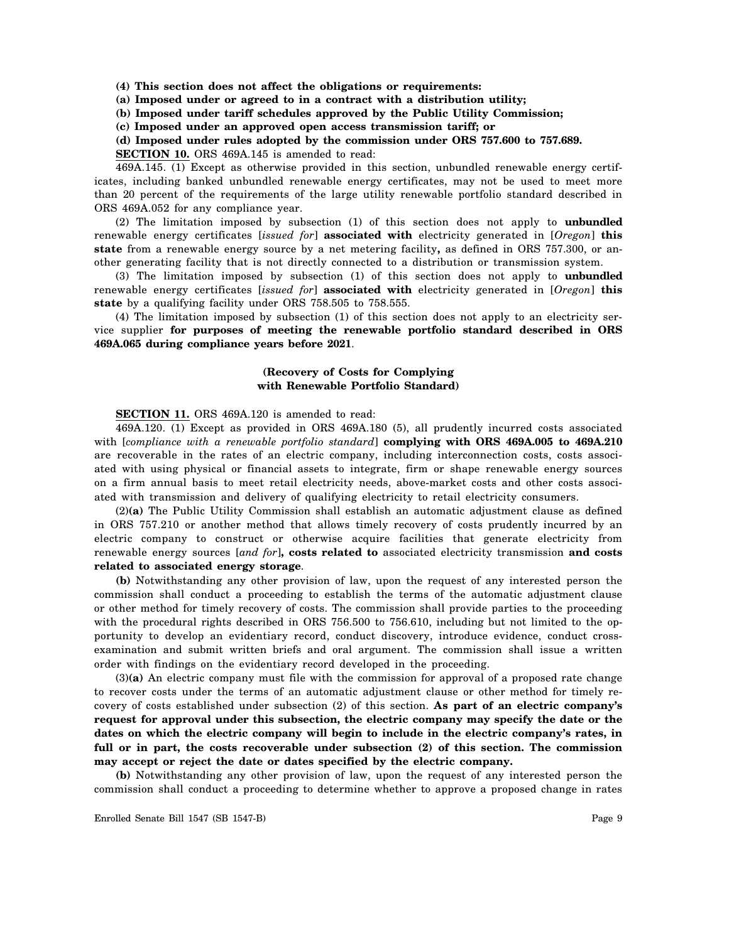**(4) This section does not affect the obligations or requirements:**

**(a) Imposed under or agreed to in a contract with a distribution utility;**

**(b) Imposed under tariff schedules approved by the Public Utility Commission;**

**(c) Imposed under an approved open access transmission tariff; or**

#### **(d) Imposed under rules adopted by the commission under ORS 757.600 to 757.689.**

**SECTION 10.** ORS 469A.145 is amended to read:

469A.145. (1) Except as otherwise provided in this section, unbundled renewable energy certificates, including banked unbundled renewable energy certificates, may not be used to meet more than 20 percent of the requirements of the large utility renewable portfolio standard described in ORS 469A.052 for any compliance year.

(2) The limitation imposed by subsection (1) of this section does not apply to **unbundled** renewable energy certificates [*issued for*] **associated with** electricity generated in [*Oregon*] **this state** from a renewable energy source by a net metering facility**,** as defined in ORS 757.300, or another generating facility that is not directly connected to a distribution or transmission system.

(3) The limitation imposed by subsection (1) of this section does not apply to **unbundled** renewable energy certificates [*issued for*] **associated with** electricity generated in [*Oregon*] **this state** by a qualifying facility under ORS 758.505 to 758.555.

(4) The limitation imposed by subsection (1) of this section does not apply to an electricity service supplier **for purposes of meeting the renewable portfolio standard described in ORS 469A.065 during compliance years before 2021**.

## **(Recovery of Costs for Complying with Renewable Portfolio Standard)**

# **SECTION 11.** ORS 469A.120 is amended to read:

469A.120. (1) Except as provided in ORS 469A.180 (5), all prudently incurred costs associated with [*compliance with a renewable portfolio standard*] **complying with ORS 469A.005 to 469A.210** are recoverable in the rates of an electric company, including interconnection costs, costs associated with using physical or financial assets to integrate, firm or shape renewable energy sources on a firm annual basis to meet retail electricity needs, above-market costs and other costs associated with transmission and delivery of qualifying electricity to retail electricity consumers.

(2)**(a)** The Public Utility Commission shall establish an automatic adjustment clause as defined in ORS 757.210 or another method that allows timely recovery of costs prudently incurred by an electric company to construct or otherwise acquire facilities that generate electricity from renewable energy sources [*and for*]**, costs related to** associated electricity transmission **and costs related to associated energy storage**.

**(b)** Notwithstanding any other provision of law, upon the request of any interested person the commission shall conduct a proceeding to establish the terms of the automatic adjustment clause or other method for timely recovery of costs. The commission shall provide parties to the proceeding with the procedural rights described in ORS 756.500 to 756.610, including but not limited to the opportunity to develop an evidentiary record, conduct discovery, introduce evidence, conduct crossexamination and submit written briefs and oral argument. The commission shall issue a written order with findings on the evidentiary record developed in the proceeding.

(3)**(a)** An electric company must file with the commission for approval of a proposed rate change to recover costs under the terms of an automatic adjustment clause or other method for timely recovery of costs established under subsection (2) of this section. **As part of an electric company's request for approval under this subsection, the electric company may specify the date or the dates on which the electric company will begin to include in the electric company's rates, in full or in part, the costs recoverable under subsection (2) of this section. The commission may accept or reject the date or dates specified by the electric company.**

**(b)** Notwithstanding any other provision of law, upon the request of any interested person the commission shall conduct a proceeding to determine whether to approve a proposed change in rates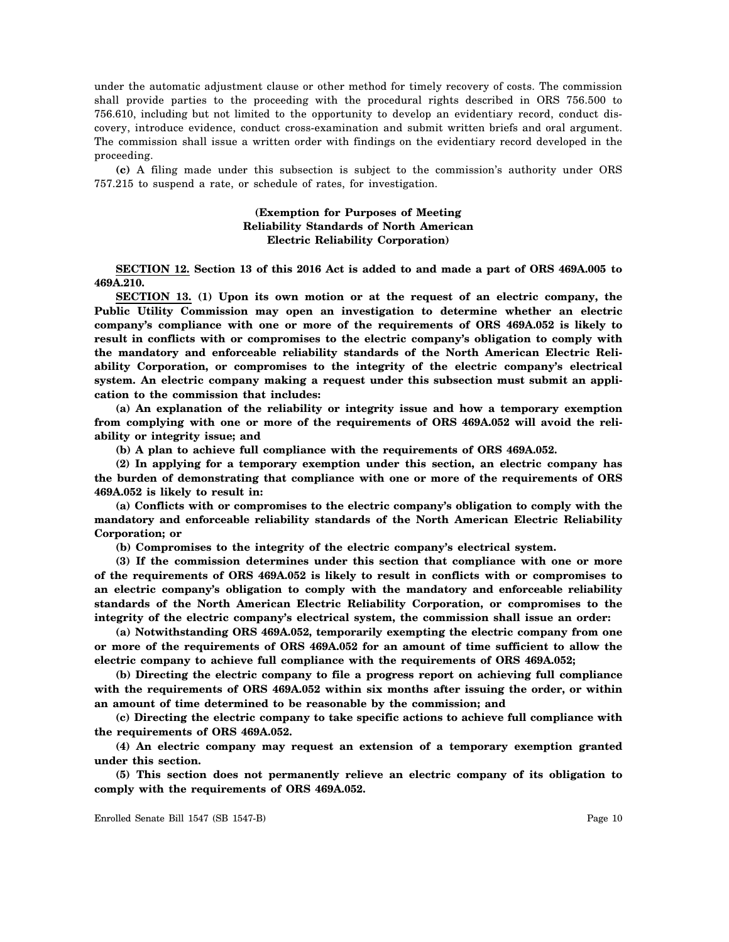under the automatic adjustment clause or other method for timely recovery of costs. The commission shall provide parties to the proceeding with the procedural rights described in ORS 756.500 to 756.610, including but not limited to the opportunity to develop an evidentiary record, conduct discovery, introduce evidence, conduct cross-examination and submit written briefs and oral argument. The commission shall issue a written order with findings on the evidentiary record developed in the proceeding.

**(c)** A filing made under this subsection is subject to the commission's authority under ORS 757.215 to suspend a rate, or schedule of rates, for investigation.

# **(Exemption for Purposes of Meeting Reliability Standards of North American Electric Reliability Corporation)**

**SECTION 12. Section 13 of this 2016 Act is added to and made a part of ORS 469A.005 to 469A.210.**

**SECTION 13. (1) Upon its own motion or at the request of an electric company, the Public Utility Commission may open an investigation to determine whether an electric company's compliance with one or more of the requirements of ORS 469A.052 is likely to result in conflicts with or compromises to the electric company's obligation to comply with the mandatory and enforceable reliability standards of the North American Electric Reliability Corporation, or compromises to the integrity of the electric company's electrical system. An electric company making a request under this subsection must submit an application to the commission that includes:**

**(a) An explanation of the reliability or integrity issue and how a temporary exemption from complying with one or more of the requirements of ORS 469A.052 will avoid the reliability or integrity issue; and**

**(b) A plan to achieve full compliance with the requirements of ORS 469A.052.**

**(2) In applying for a temporary exemption under this section, an electric company has the burden of demonstrating that compliance with one or more of the requirements of ORS 469A.052 is likely to result in:**

**(a) Conflicts with or compromises to the electric company's obligation to comply with the mandatory and enforceable reliability standards of the North American Electric Reliability Corporation; or**

**(b) Compromises to the integrity of the electric company's electrical system.**

**(3) If the commission determines under this section that compliance with one or more of the requirements of ORS 469A.052 is likely to result in conflicts with or compromises to an electric company's obligation to comply with the mandatory and enforceable reliability standards of the North American Electric Reliability Corporation, or compromises to the integrity of the electric company's electrical system, the commission shall issue an order:**

**(a) Notwithstanding ORS 469A.052, temporarily exempting the electric company from one or more of the requirements of ORS 469A.052 for an amount of time sufficient to allow the electric company to achieve full compliance with the requirements of ORS 469A.052;**

**(b) Directing the electric company to file a progress report on achieving full compliance with the requirements of ORS 469A.052 within six months after issuing the order, or within an amount of time determined to be reasonable by the commission; and**

**(c) Directing the electric company to take specific actions to achieve full compliance with the requirements of ORS 469A.052.**

**(4) An electric company may request an extension of a temporary exemption granted under this section.**

**(5) This section does not permanently relieve an electric company of its obligation to comply with the requirements of ORS 469A.052.**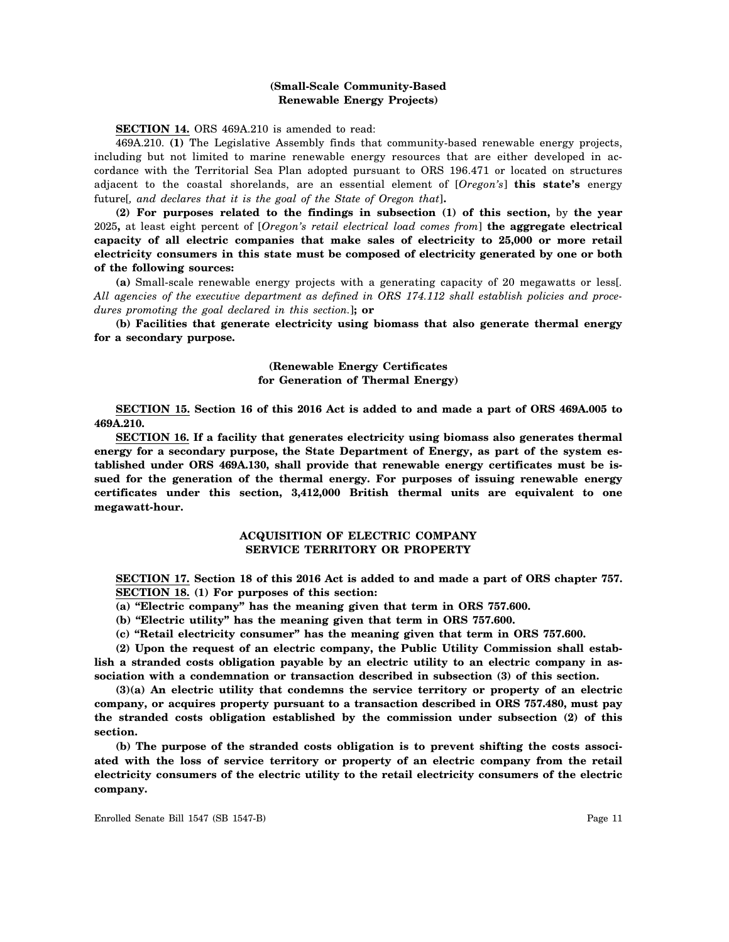# **(Small-Scale Community-Based Renewable Energy Projects)**

**SECTION 14.** ORS 469A.210 is amended to read:

469A.210. **(1)** The Legislative Assembly finds that community-based renewable energy projects, including but not limited to marine renewable energy resources that are either developed in accordance with the Territorial Sea Plan adopted pursuant to ORS 196.471 or located on structures adjacent to the coastal shorelands, are an essential element of [*Oregon's*] **this state's** energy future[*, and declares that it is the goal of the State of Oregon that*]**.**

**(2) For purposes related to the findings in subsection (1) of this section,** by **the year** 2025**,** at least eight percent of [*Oregon's retail electrical load comes from*] **the aggregate electrical capacity of all electric companies that make sales of electricity to 25,000 or more retail electricity consumers in this state must be composed of electricity generated by one or both of the following sources:**

**(a)** Small-scale renewable energy projects with a generating capacity of 20 megawatts or less[*. All agencies of the executive department as defined in ORS 174.112 shall establish policies and procedures promoting the goal declared in this section.*]**; or**

**(b) Facilities that generate electricity using biomass that also generate thermal energy for a secondary purpose.**

# **(Renewable Energy Certificates for Generation of Thermal Energy)**

**SECTION 15. Section 16 of this 2016 Act is added to and made a part of ORS 469A.005 to 469A.210.**

**SECTION 16. If a facility that generates electricity using biomass also generates thermal energy for a secondary purpose, the State Department of Energy, as part of the system established under ORS 469A.130, shall provide that renewable energy certificates must be issued for the generation of the thermal energy. For purposes of issuing renewable energy certificates under this section, 3,412,000 British thermal units are equivalent to one megawatt-hour.**

# **ACQUISITION OF ELECTRIC COMPANY SERVICE TERRITORY OR PROPERTY**

**SECTION 17. Section 18 of this 2016 Act is added to and made a part of ORS chapter 757. SECTION 18. (1) For purposes of this section:**

**(a) "Electric company" has the meaning given that term in ORS 757.600.**

**(b) "Electric utility" has the meaning given that term in ORS 757.600.**

**(c) "Retail electricity consumer" has the meaning given that term in ORS 757.600.**

**(2) Upon the request of an electric company, the Public Utility Commission shall establish a stranded costs obligation payable by an electric utility to an electric company in association with a condemnation or transaction described in subsection (3) of this section.**

**(3)(a) An electric utility that condemns the service territory or property of an electric company, or acquires property pursuant to a transaction described in ORS 757.480, must pay the stranded costs obligation established by the commission under subsection (2) of this section.**

**(b) The purpose of the stranded costs obligation is to prevent shifting the costs associated with the loss of service territory or property of an electric company from the retail electricity consumers of the electric utility to the retail electricity consumers of the electric company.**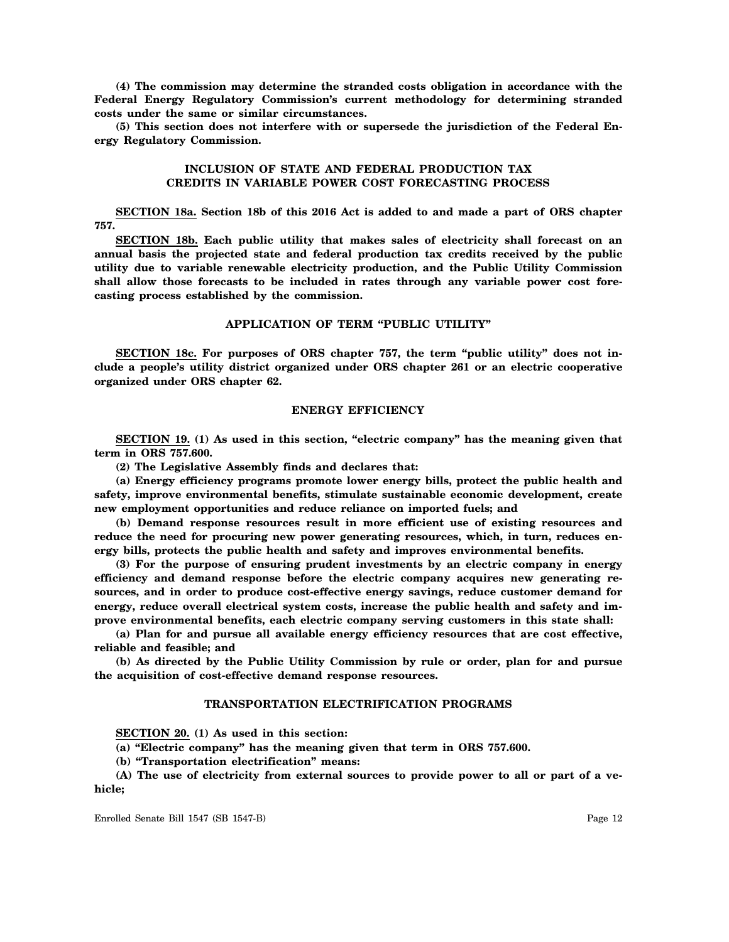**(4) The commission may determine the stranded costs obligation in accordance with the Federal Energy Regulatory Commission's current methodology for determining stranded costs under the same or similar circumstances.**

**(5) This section does not interfere with or supersede the jurisdiction of the Federal Energy Regulatory Commission.**

# **INCLUSION OF STATE AND FEDERAL PRODUCTION TAX CREDITS IN VARIABLE POWER COST FORECASTING PROCESS**

**SECTION 18a. Section 18b of this 2016 Act is added to and made a part of ORS chapter 757.**

**SECTION 18b. Each public utility that makes sales of electricity shall forecast on an annual basis the projected state and federal production tax credits received by the public utility due to variable renewable electricity production, and the Public Utility Commission shall allow those forecasts to be included in rates through any variable power cost forecasting process established by the commission.**

## **APPLICATION OF TERM "PUBLIC UTILITY"**

**SECTION 18c. For purposes of ORS chapter 757, the term "public utility" does not include a people's utility district organized under ORS chapter 261 or an electric cooperative organized under ORS chapter 62.**

#### **ENERGY EFFICIENCY**

**SECTION 19. (1) As used in this section, "electric company" has the meaning given that term in ORS 757.600.**

**(2) The Legislative Assembly finds and declares that:**

**(a) Energy efficiency programs promote lower energy bills, protect the public health and safety, improve environmental benefits, stimulate sustainable economic development, create new employment opportunities and reduce reliance on imported fuels; and**

**(b) Demand response resources result in more efficient use of existing resources and reduce the need for procuring new power generating resources, which, in turn, reduces energy bills, protects the public health and safety and improves environmental benefits.**

**(3) For the purpose of ensuring prudent investments by an electric company in energy efficiency and demand response before the electric company acquires new generating resources, and in order to produce cost-effective energy savings, reduce customer demand for energy, reduce overall electrical system costs, increase the public health and safety and improve environmental benefits, each electric company serving customers in this state shall:**

**(a) Plan for and pursue all available energy efficiency resources that are cost effective, reliable and feasible; and**

**(b) As directed by the Public Utility Commission by rule or order, plan for and pursue the acquisition of cost-effective demand response resources.**

#### **TRANSPORTATION ELECTRIFICATION PROGRAMS**

**SECTION 20. (1) As used in this section:**

**(a) "Electric company" has the meaning given that term in ORS 757.600.**

**(b) "Transportation electrification" means:**

**(A) The use of electricity from external sources to provide power to all or part of a vehicle;**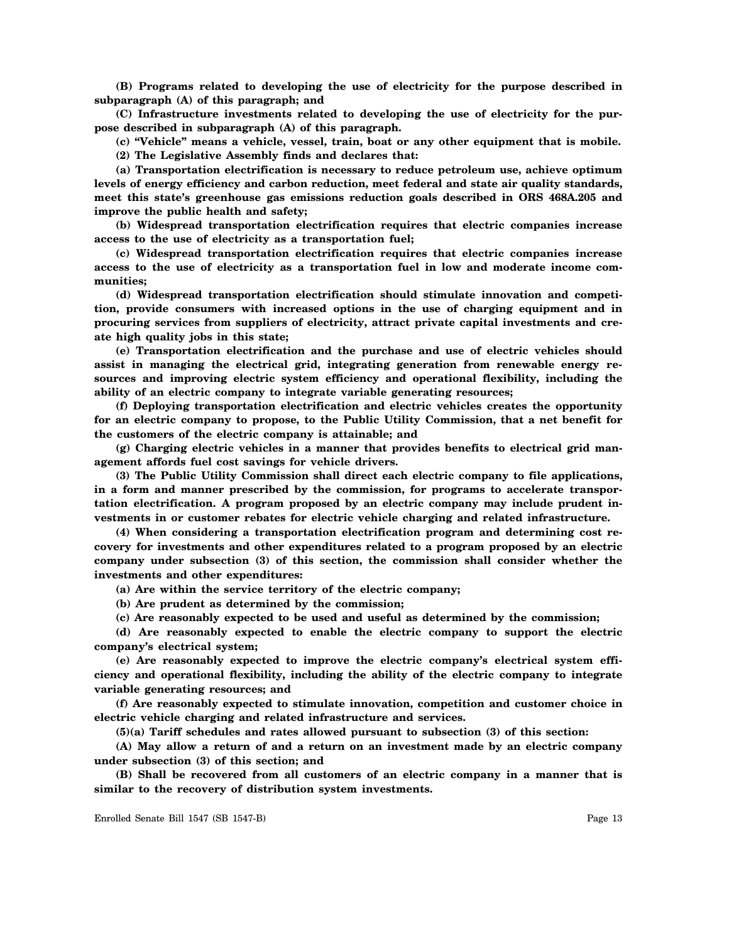**(B) Programs related to developing the use of electricity for the purpose described in subparagraph (A) of this paragraph; and**

**(C) Infrastructure investments related to developing the use of electricity for the purpose described in subparagraph (A) of this paragraph.**

**(c) "Vehicle" means a vehicle, vessel, train, boat or any other equipment that is mobile. (2) The Legislative Assembly finds and declares that:**

**(a) Transportation electrification is necessary to reduce petroleum use, achieve optimum levels of energy efficiency and carbon reduction, meet federal and state air quality standards, meet this state's greenhouse gas emissions reduction goals described in ORS 468A.205 and improve the public health and safety;**

**(b) Widespread transportation electrification requires that electric companies increase access to the use of electricity as a transportation fuel;**

**(c) Widespread transportation electrification requires that electric companies increase access to the use of electricity as a transportation fuel in low and moderate income communities;**

**(d) Widespread transportation electrification should stimulate innovation and competition, provide consumers with increased options in the use of charging equipment and in procuring services from suppliers of electricity, attract private capital investments and create high quality jobs in this state;**

**(e) Transportation electrification and the purchase and use of electric vehicles should assist in managing the electrical grid, integrating generation from renewable energy resources and improving electric system efficiency and operational flexibility, including the ability of an electric company to integrate variable generating resources;**

**(f) Deploying transportation electrification and electric vehicles creates the opportunity for an electric company to propose, to the Public Utility Commission, that a net benefit for the customers of the electric company is attainable; and**

**(g) Charging electric vehicles in a manner that provides benefits to electrical grid management affords fuel cost savings for vehicle drivers.**

**(3) The Public Utility Commission shall direct each electric company to file applications, in a form and manner prescribed by the commission, for programs to accelerate transportation electrification. A program proposed by an electric company may include prudent investments in or customer rebates for electric vehicle charging and related infrastructure.**

**(4) When considering a transportation electrification program and determining cost recovery for investments and other expenditures related to a program proposed by an electric company under subsection (3) of this section, the commission shall consider whether the investments and other expenditures:**

**(a) Are within the service territory of the electric company;**

**(b) Are prudent as determined by the commission;**

**(c) Are reasonably expected to be used and useful as determined by the commission;**

**(d) Are reasonably expected to enable the electric company to support the electric company's electrical system;**

**(e) Are reasonably expected to improve the electric company's electrical system efficiency and operational flexibility, including the ability of the electric company to integrate variable generating resources; and**

**(f) Are reasonably expected to stimulate innovation, competition and customer choice in electric vehicle charging and related infrastructure and services.**

**(5)(a) Tariff schedules and rates allowed pursuant to subsection (3) of this section:**

**(A) May allow a return of and a return on an investment made by an electric company under subsection (3) of this section; and**

**(B) Shall be recovered from all customers of an electric company in a manner that is similar to the recovery of distribution system investments.**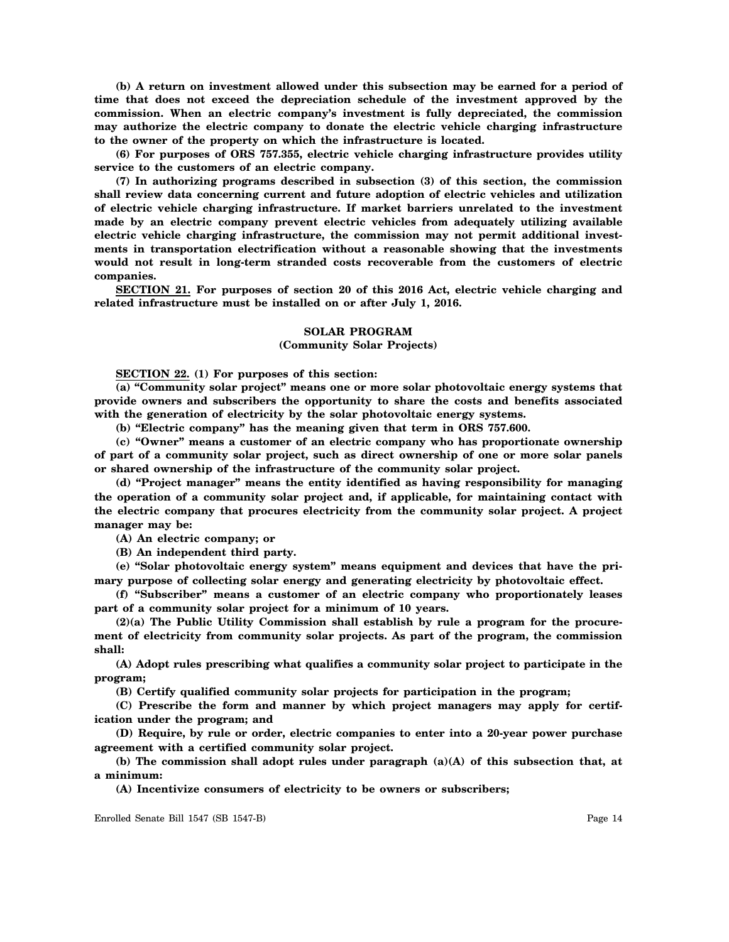**(b) A return on investment allowed under this subsection may be earned for a period of time that does not exceed the depreciation schedule of the investment approved by the commission. When an electric company's investment is fully depreciated, the commission may authorize the electric company to donate the electric vehicle charging infrastructure to the owner of the property on which the infrastructure is located.**

**(6) For purposes of ORS 757.355, electric vehicle charging infrastructure provides utility service to the customers of an electric company.**

**(7) In authorizing programs described in subsection (3) of this section, the commission shall review data concerning current and future adoption of electric vehicles and utilization of electric vehicle charging infrastructure. If market barriers unrelated to the investment made by an electric company prevent electric vehicles from adequately utilizing available electric vehicle charging infrastructure, the commission may not permit additional investments in transportation electrification without a reasonable showing that the investments would not result in long-term stranded costs recoverable from the customers of electric companies.**

**SECTION 21. For purposes of section 20 of this 2016 Act, electric vehicle charging and related infrastructure must be installed on or after July 1, 2016.**

## **SOLAR PROGRAM**

# **(Community Solar Projects)**

**SECTION 22. (1) For purposes of this section:**

**(a) "Community solar project" means one or more solar photovoltaic energy systems that provide owners and subscribers the opportunity to share the costs and benefits associated with the generation of electricity by the solar photovoltaic energy systems.**

**(b) "Electric company" has the meaning given that term in ORS 757.600.**

**(c) "Owner" means a customer of an electric company who has proportionate ownership of part of a community solar project, such as direct ownership of one or more solar panels or shared ownership of the infrastructure of the community solar project.**

**(d) "Project manager" means the entity identified as having responsibility for managing the operation of a community solar project and, if applicable, for maintaining contact with the electric company that procures electricity from the community solar project. A project manager may be:**

**(A) An electric company; or**

**(B) An independent third party.**

**(e) "Solar photovoltaic energy system" means equipment and devices that have the primary purpose of collecting solar energy and generating electricity by photovoltaic effect.**

**(f) "Subscriber" means a customer of an electric company who proportionately leases part of a community solar project for a minimum of 10 years.**

**(2)(a) The Public Utility Commission shall establish by rule a program for the procurement of electricity from community solar projects. As part of the program, the commission shall:**

**(A) Adopt rules prescribing what qualifies a community solar project to participate in the program;**

**(B) Certify qualified community solar projects for participation in the program;**

**(C) Prescribe the form and manner by which project managers may apply for certification under the program; and**

**(D) Require, by rule or order, electric companies to enter into a 20-year power purchase agreement with a certified community solar project.**

**(b) The commission shall adopt rules under paragraph (a)(A) of this subsection that, at a minimum:**

**(A) Incentivize consumers of electricity to be owners or subscribers;**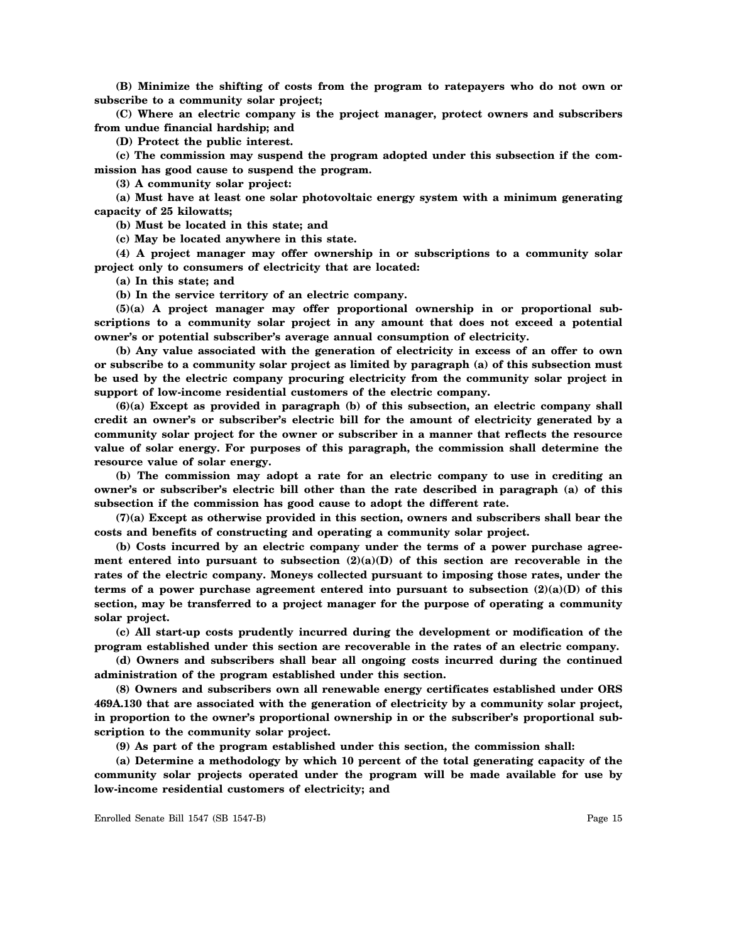**(B) Minimize the shifting of costs from the program to ratepayers who do not own or subscribe to a community solar project;**

**(C) Where an electric company is the project manager, protect owners and subscribers from undue financial hardship; and**

**(D) Protect the public interest.**

**(c) The commission may suspend the program adopted under this subsection if the commission has good cause to suspend the program.**

**(3) A community solar project:**

**(a) Must have at least one solar photovoltaic energy system with a minimum generating capacity of 25 kilowatts;**

**(b) Must be located in this state; and**

**(c) May be located anywhere in this state.**

**(4) A project manager may offer ownership in or subscriptions to a community solar project only to consumers of electricity that are located:**

**(a) In this state; and**

**(b) In the service territory of an electric company.**

**(5)(a) A project manager may offer proportional ownership in or proportional subscriptions to a community solar project in any amount that does not exceed a potential owner's or potential subscriber's average annual consumption of electricity.**

**(b) Any value associated with the generation of electricity in excess of an offer to own or subscribe to a community solar project as limited by paragraph (a) of this subsection must be used by the electric company procuring electricity from the community solar project in support of low-income residential customers of the electric company.**

**(6)(a) Except as provided in paragraph (b) of this subsection, an electric company shall credit an owner's or subscriber's electric bill for the amount of electricity generated by a community solar project for the owner or subscriber in a manner that reflects the resource value of solar energy. For purposes of this paragraph, the commission shall determine the resource value of solar energy.**

**(b) The commission may adopt a rate for an electric company to use in crediting an owner's or subscriber's electric bill other than the rate described in paragraph (a) of this subsection if the commission has good cause to adopt the different rate.**

**(7)(a) Except as otherwise provided in this section, owners and subscribers shall bear the costs and benefits of constructing and operating a community solar project.**

**(b) Costs incurred by an electric company under the terms of a power purchase agreement entered into pursuant to subsection (2)(a)(D) of this section are recoverable in the rates of the electric company. Moneys collected pursuant to imposing those rates, under the terms of a power purchase agreement entered into pursuant to subsection (2)(a)(D) of this section, may be transferred to a project manager for the purpose of operating a community solar project.**

**(c) All start-up costs prudently incurred during the development or modification of the program established under this section are recoverable in the rates of an electric company.**

**(d) Owners and subscribers shall bear all ongoing costs incurred during the continued administration of the program established under this section.**

**(8) Owners and subscribers own all renewable energy certificates established under ORS 469A.130 that are associated with the generation of electricity by a community solar project, in proportion to the owner's proportional ownership in or the subscriber's proportional subscription to the community solar project.**

**(9) As part of the program established under this section, the commission shall:**

**(a) Determine a methodology by which 10 percent of the total generating capacity of the community solar projects operated under the program will be made available for use by low-income residential customers of electricity; and**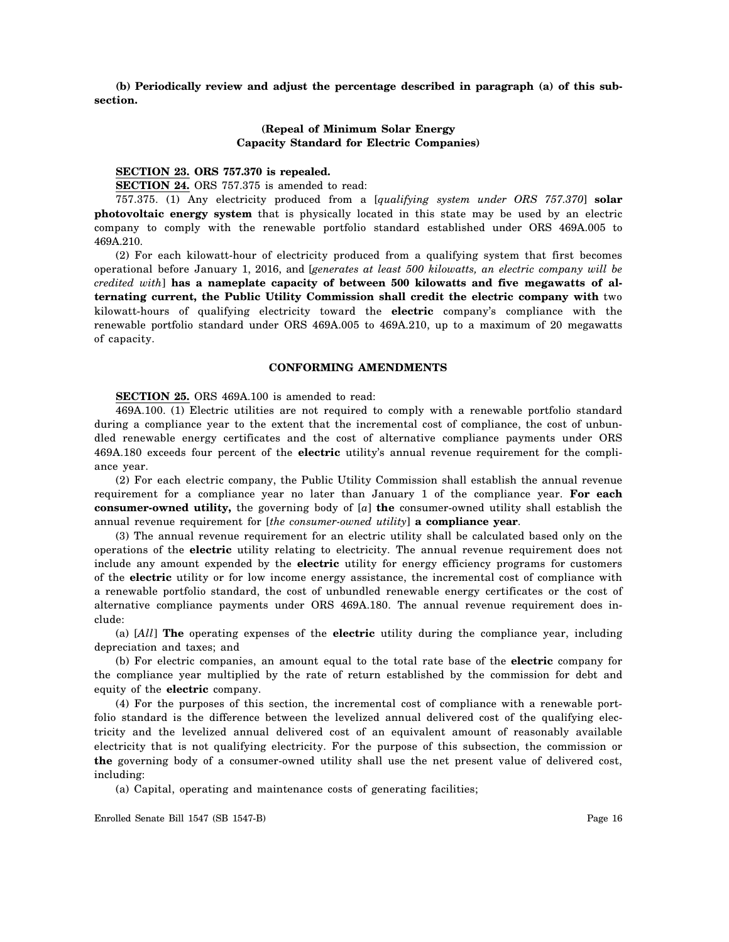**(b) Periodically review and adjust the percentage described in paragraph (a) of this subsection.**

# **(Repeal of Minimum Solar Energy Capacity Standard for Electric Companies)**

# **SECTION 23. ORS 757.370 is repealed.**

**SECTION 24.** ORS 757.375 is amended to read:

757.375. (1) Any electricity produced from a [*qualifying system under ORS 757.370*] **solar photovoltaic energy system** that is physically located in this state may be used by an electric company to comply with the renewable portfolio standard established under ORS 469A.005 to 469A.210.

(2) For each kilowatt-hour of electricity produced from a qualifying system that first becomes operational before January 1, 2016, and [*generates at least 500 kilowatts, an electric company will be credited with*] **has a nameplate capacity of between 500 kilowatts and five megawatts of alternating current, the Public Utility Commission shall credit the electric company with** two kilowatt-hours of qualifying electricity toward the **electric** company's compliance with the renewable portfolio standard under ORS 469A.005 to 469A.210, up to a maximum of 20 megawatts of capacity.

#### **CONFORMING AMENDMENTS**

#### **SECTION 25.** ORS 469A.100 is amended to read:

469A.100. (1) Electric utilities are not required to comply with a renewable portfolio standard during a compliance year to the extent that the incremental cost of compliance, the cost of unbundled renewable energy certificates and the cost of alternative compliance payments under ORS 469A.180 exceeds four percent of the **electric** utility's annual revenue requirement for the compliance year.

(2) For each electric company, the Public Utility Commission shall establish the annual revenue requirement for a compliance year no later than January 1 of the compliance year. **For each consumer-owned utility,** the governing body of [*a*] **the** consumer-owned utility shall establish the annual revenue requirement for [*the consumer-owned utility*] **a compliance year**.

(3) The annual revenue requirement for an electric utility shall be calculated based only on the operations of the **electric** utility relating to electricity. The annual revenue requirement does not include any amount expended by the **electric** utility for energy efficiency programs for customers of the **electric** utility or for low income energy assistance, the incremental cost of compliance with a renewable portfolio standard, the cost of unbundled renewable energy certificates or the cost of alternative compliance payments under ORS 469A.180. The annual revenue requirement does include:

(a) [*All*] **The** operating expenses of the **electric** utility during the compliance year, including depreciation and taxes; and

(b) For electric companies, an amount equal to the total rate base of the **electric** company for the compliance year multiplied by the rate of return established by the commission for debt and equity of the **electric** company.

(4) For the purposes of this section, the incremental cost of compliance with a renewable portfolio standard is the difference between the levelized annual delivered cost of the qualifying electricity and the levelized annual delivered cost of an equivalent amount of reasonably available electricity that is not qualifying electricity. For the purpose of this subsection, the commission or **the** governing body of a consumer-owned utility shall use the net present value of delivered cost, including:

(a) Capital, operating and maintenance costs of generating facilities;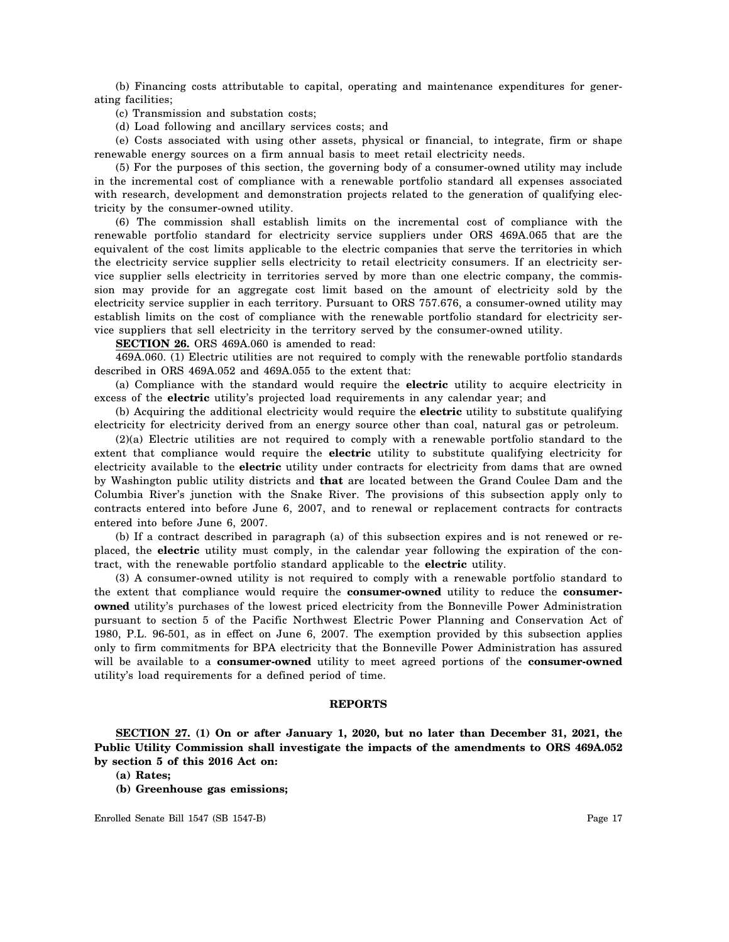(b) Financing costs attributable to capital, operating and maintenance expenditures for generating facilities;

(c) Transmission and substation costs;

(d) Load following and ancillary services costs; and

(e) Costs associated with using other assets, physical or financial, to integrate, firm or shape renewable energy sources on a firm annual basis to meet retail electricity needs.

(5) For the purposes of this section, the governing body of a consumer-owned utility may include in the incremental cost of compliance with a renewable portfolio standard all expenses associated with research, development and demonstration projects related to the generation of qualifying electricity by the consumer-owned utility.

(6) The commission shall establish limits on the incremental cost of compliance with the renewable portfolio standard for electricity service suppliers under ORS 469A.065 that are the equivalent of the cost limits applicable to the electric companies that serve the territories in which the electricity service supplier sells electricity to retail electricity consumers. If an electricity service supplier sells electricity in territories served by more than one electric company, the commission may provide for an aggregate cost limit based on the amount of electricity sold by the electricity service supplier in each territory. Pursuant to ORS 757.676, a consumer-owned utility may establish limits on the cost of compliance with the renewable portfolio standard for electricity service suppliers that sell electricity in the territory served by the consumer-owned utility.

**SECTION 26.** ORS 469A.060 is amended to read:

469A.060. (1) Electric utilities are not required to comply with the renewable portfolio standards described in ORS 469A.052 and 469A.055 to the extent that:

(a) Compliance with the standard would require the **electric** utility to acquire electricity in excess of the **electric** utility's projected load requirements in any calendar year; and

(b) Acquiring the additional electricity would require the **electric** utility to substitute qualifying electricity for electricity derived from an energy source other than coal, natural gas or petroleum.

(2)(a) Electric utilities are not required to comply with a renewable portfolio standard to the extent that compliance would require the **electric** utility to substitute qualifying electricity for electricity available to the **electric** utility under contracts for electricity from dams that are owned by Washington public utility districts and **that** are located between the Grand Coulee Dam and the Columbia River's junction with the Snake River. The provisions of this subsection apply only to contracts entered into before June 6, 2007, and to renewal or replacement contracts for contracts entered into before June 6, 2007.

(b) If a contract described in paragraph (a) of this subsection expires and is not renewed or replaced, the **electric** utility must comply, in the calendar year following the expiration of the contract, with the renewable portfolio standard applicable to the **electric** utility.

(3) A consumer-owned utility is not required to comply with a renewable portfolio standard to the extent that compliance would require the **consumer-owned** utility to reduce the **consumerowned** utility's purchases of the lowest priced electricity from the Bonneville Power Administration pursuant to section 5 of the Pacific Northwest Electric Power Planning and Conservation Act of 1980, P.L. 96-501, as in effect on June 6, 2007. The exemption provided by this subsection applies only to firm commitments for BPA electricity that the Bonneville Power Administration has assured will be available to a **consumer-owned** utility to meet agreed portions of the **consumer-owned** utility's load requirements for a defined period of time.

#### **REPORTS**

**SECTION 27. (1) On or after January 1, 2020, but no later than December 31, 2021, the Public Utility Commission shall investigate the impacts of the amendments to ORS 469A.052 by section 5 of this 2016 Act on:**

- **(a) Rates;**
- **(b) Greenhouse gas emissions;**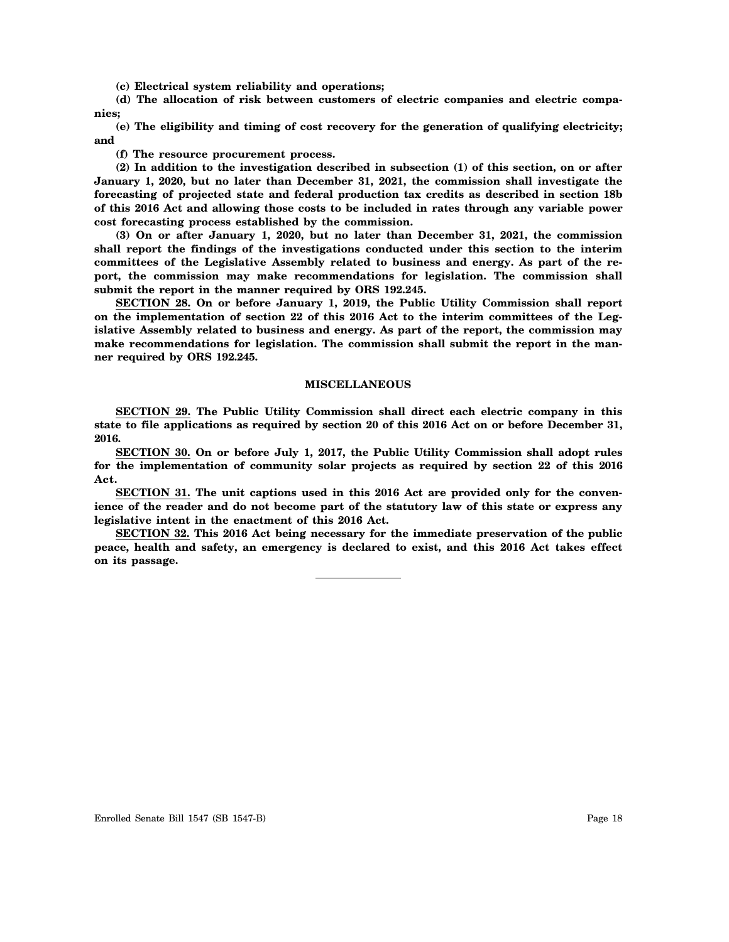**(c) Electrical system reliability and operations;**

**(d) The allocation of risk between customers of electric companies and electric companies;**

**(e) The eligibility and timing of cost recovery for the generation of qualifying electricity; and**

**(f) The resource procurement process.**

**(2) In addition to the investigation described in subsection (1) of this section, on or after January 1, 2020, but no later than December 31, 2021, the commission shall investigate the forecasting of projected state and federal production tax credits as described in section 18b of this 2016 Act and allowing those costs to be included in rates through any variable power cost forecasting process established by the commission.**

**(3) On or after January 1, 2020, but no later than December 31, 2021, the commission shall report the findings of the investigations conducted under this section to the interim committees of the Legislative Assembly related to business and energy. As part of the report, the commission may make recommendations for legislation. The commission shall submit the report in the manner required by ORS 192.245.**

**SECTION 28. On or before January 1, 2019, the Public Utility Commission shall report on the implementation of section 22 of this 2016 Act to the interim committees of the Legislative Assembly related to business and energy. As part of the report, the commission may make recommendations for legislation. The commission shall submit the report in the manner required by ORS 192.245.**

## **MISCELLANEOUS**

**SECTION 29. The Public Utility Commission shall direct each electric company in this state to file applications as required by section 20 of this 2016 Act on or before December 31, 2016.**

**SECTION 30. On or before July 1, 2017, the Public Utility Commission shall adopt rules for the implementation of community solar projects as required by section 22 of this 2016 Act.**

**SECTION 31. The unit captions used in this 2016 Act are provided only for the convenience of the reader and do not become part of the statutory law of this state or express any legislative intent in the enactment of this 2016 Act.**

**SECTION 32. This 2016 Act being necessary for the immediate preservation of the public peace, health and safety, an emergency is declared to exist, and this 2016 Act takes effect on its passage.**